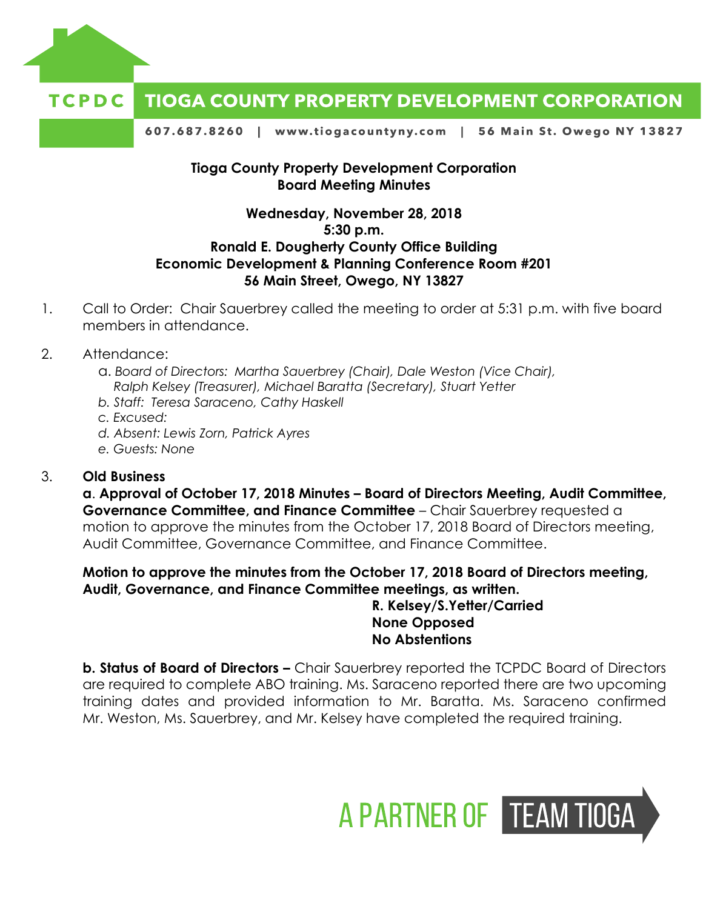

#### TCPDC **TIOGA COUNTY PROPERTY DEVELOPMENT CORPORATION**

607.687.8260 | www.tiogacountyny.com | 56 Main St. Owego NY 13827

#### **Tioga County Property Development Corporation Board Meeting Minutes**

## **Wednesday, November 28, 2018 5:30 p.m. Ronald E. Dougherty County Office Building Economic Development & Planning Conference Room #201 56 Main Street, Owego, NY 13827**

- 1. Call to Order: Chair Sauerbrey called the meeting to order at 5:31 p.m. with five board members in attendance.
- 2. Attendance:
	- a. *Board of Directors: Martha Sauerbrey (Chair), Dale Weston (Vice Chair), Ralph Kelsey (Treasurer), Michael Baratta (Secretary), Stuart Yetter*
	- *b. Staff: Teresa Saraceno, Cathy Haskell*
	- *c. Excused:*
	- *d. Absent: Lewis Zorn, Patrick Ayres*
	- *e. Guests: None*

#### 3. **Old Business**

**a**. **Approval of October 17, 2018 Minutes – Board of Directors Meeting, Audit Committee, Governance Committee, and Finance Committee** – Chair Sauerbrey requested a motion to approve the minutes from the October 17, 2018 Board of Directors meeting, Audit Committee, Governance Committee, and Finance Committee.

## **Motion to approve the minutes from the October 17, 2018 Board of Directors meeting, Audit, Governance, and Finance Committee meetings, as written.**

**R. Kelsey/S.Yetter/Carried None Opposed No Abstentions**

**b. Status of Board of Directors –** Chair Sauerbrey reported the TCPDC Board of Directors are required to complete ABO training. Ms. Saraceno reported there are two upcoming training dates and provided information to Mr. Baratta. Ms. Saraceno confirmed Mr. Weston, Ms. Sauerbrey, and Mr. Kelsey have completed the required training.

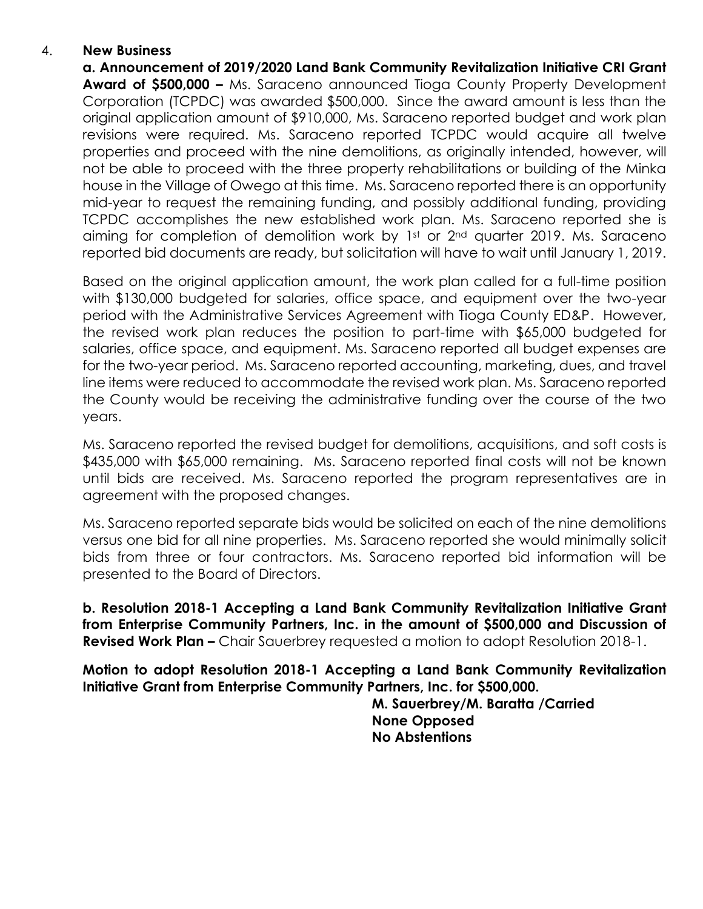### 4. **New Business**

**a. Announcement of 2019/2020 Land Bank Community Revitalization Initiative CRI Grant Award of \$500,000 –** Ms. Saraceno announced Tioga County Property Development Corporation (TCPDC) was awarded \$500,000. Since the award amount is less than the original application amount of \$910,000, Ms. Saraceno reported budget and work plan revisions were required. Ms. Saraceno reported TCPDC would acquire all twelve properties and proceed with the nine demolitions, as originally intended, however, will not be able to proceed with the three property rehabilitations or building of the Minka house in the Village of Owego at this time. Ms. Saraceno reported there is an opportunity mid-year to request the remaining funding, and possibly additional funding, providing TCPDC accomplishes the new established work plan. Ms. Saraceno reported she is aiming for completion of demolition work by 1<sup>st</sup> or 2<sup>nd</sup> quarter 2019. Ms. Saraceno reported bid documents are ready, but solicitation will have to wait until January 1, 2019.

Based on the original application amount, the work plan called for a full-time position with \$130,000 budgeted for salaries, office space, and equipment over the two-year period with the Administrative Services Agreement with Tioga County ED&P. However, the revised work plan reduces the position to part-time with \$65,000 budgeted for salaries, office space, and equipment. Ms. Saraceno reported all budget expenses are for the two-year period. Ms. Saraceno reported accounting, marketing, dues, and travel line items were reduced to accommodate the revised work plan. Ms. Saraceno reported the County would be receiving the administrative funding over the course of the two years.

Ms. Saraceno reported the revised budget for demolitions, acquisitions, and soft costs is \$435,000 with \$65,000 remaining. Ms. Saraceno reported final costs will not be known until bids are received. Ms. Saraceno reported the program representatives are in agreement with the proposed changes.

Ms. Saraceno reported separate bids would be solicited on each of the nine demolitions versus one bid for all nine properties. Ms. Saraceno reported she would minimally solicit bids from three or four contractors. Ms. Saraceno reported bid information will be presented to the Board of Directors.

**b. Resolution 2018-1 Accepting a Land Bank Community Revitalization Initiative Grant from Enterprise Community Partners, Inc. in the amount of \$500,000 and Discussion of Revised Work Plan –** Chair Sauerbrey requested a motion to adopt Resolution 2018-1.

**Motion to adopt Resolution 2018-1 Accepting a Land Bank Community Revitalization Initiative Grant from Enterprise Community Partners, Inc. for \$500,000.** 

**M. Sauerbrey/M. Baratta /Carried None Opposed No Abstentions**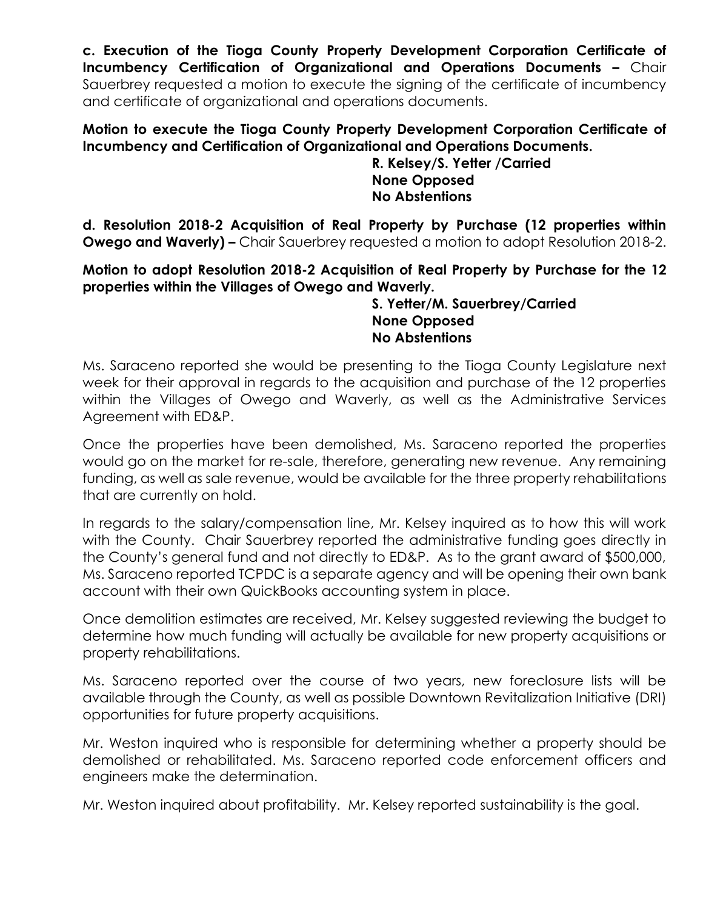**c. Execution of the Tioga County Property Development Corporation Certificate of Incumbency Certification of Organizational and Operations Documents –** Chair Sauerbrey requested a motion to execute the signing of the certificate of incumbency and certificate of organizational and operations documents.

# **Motion to execute the Tioga County Property Development Corporation Certificate of Incumbency and Certification of Organizational and Operations Documents.**

**R. Kelsey/S. Yetter /Carried None Opposed No Abstentions**

**d. Resolution 2018-2 Acquisition of Real Property by Purchase (12 properties within Owego and Waverly) –** Chair Sauerbrey requested a motion to adopt Resolution 2018-2.

**Motion to adopt Resolution 2018-2 Acquisition of Real Property by Purchase for the 12 properties within the Villages of Owego and Waverly.** 

#### **S. Yetter/M. Sauerbrey/Carried None Opposed No Abstentions**

Ms. Saraceno reported she would be presenting to the Tioga County Legislature next week for their approval in regards to the acquisition and purchase of the 12 properties within the Villages of Owego and Waverly, as well as the Administrative Services Agreement with ED&P.

Once the properties have been demolished, Ms. Saraceno reported the properties would go on the market for re-sale, therefore, generating new revenue. Any remaining funding, as well as sale revenue, would be available for the three property rehabilitations that are currently on hold.

In regards to the salary/compensation line, Mr. Kelsey inquired as to how this will work with the County. Chair Sauerbrey reported the administrative funding goes directly in the County's general fund and not directly to ED&P. As to the grant award of \$500,000, Ms. Saraceno reported TCPDC is a separate agency and will be opening their own bank account with their own QuickBooks accounting system in place.

Once demolition estimates are received, Mr. Kelsey suggested reviewing the budget to determine how much funding will actually be available for new property acquisitions or property rehabilitations.

Ms. Saraceno reported over the course of two years, new foreclosure lists will be available through the County, as well as possible Downtown Revitalization Initiative (DRI) opportunities for future property acquisitions.

Mr. Weston inquired who is responsible for determining whether a property should be demolished or rehabilitated. Ms. Saraceno reported code enforcement officers and engineers make the determination.

Mr. Weston inquired about profitability. Mr. Kelsey reported sustainability is the goal.